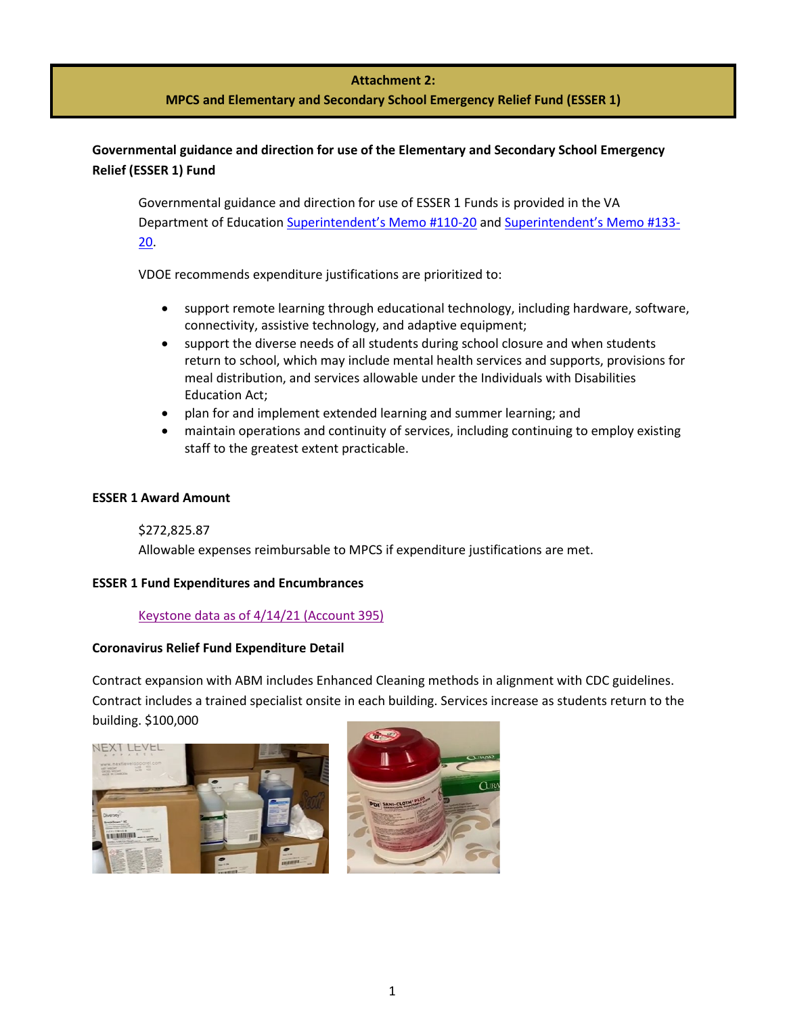# **Attachment 2:**

# **MPCS and Elementary and Secondary School Emergency Relief Fund (ESSER 1)**

# **Governmental guidance and direction for use of the Elementary and Secondary School Emergency Relief (ESSER 1) Fund**

Governmental guidance and direction for use of ESSER 1 Funds is provided in the VA Department of Education [Superintendent's Memo](https://www.doe.virginia.gov/administrators/superintendents_memos/2020/110-20.docx) #110-20 an[d Superintendent's Memo #133-](https://www.doe.virginia.gov/administrators/superintendents_memos/2020/133-20.docx) [20.](https://www.doe.virginia.gov/administrators/superintendents_memos/2020/133-20.docx)

VDOE recommends expenditure justifications are prioritized to:

- support remote learning through educational technology, including hardware, software, connectivity, assistive technology, and adaptive equipment;
- support the diverse needs of all students during school closure and when students return to school, which may include mental health services and supports, provisions for meal distribution, and services allowable under the Individuals with Disabilities Education Act;
- plan for and implement extended learning and summer learning; and
- maintain operations and continuity of services, including continuing to employ existing staff to the greatest extent practicable.

#### **ESSER 1 Award Amount**

\$272,825.87 Allowable expenses reimbursable to MPCS if expenditure justifications are met.

## **ESSER 1 Fund Expenditures and Encumbrances**

[Keystone data as of 4/14/21](https://manassaspark.finalsite.com/uploaded/Announcements/Press_Release/Superintendents_Corner/MPCS_CARES_Relief_to_date.xlsm) (Account 395)

## **Coronavirus Relief Fund Expenditure Detail**

Contract expansion with ABM includes Enhanced Cleaning methods in alignment with CDC guidelines. Contract includes a trained specialist onsite in each building. Services increase as students return to the building. \$100,000